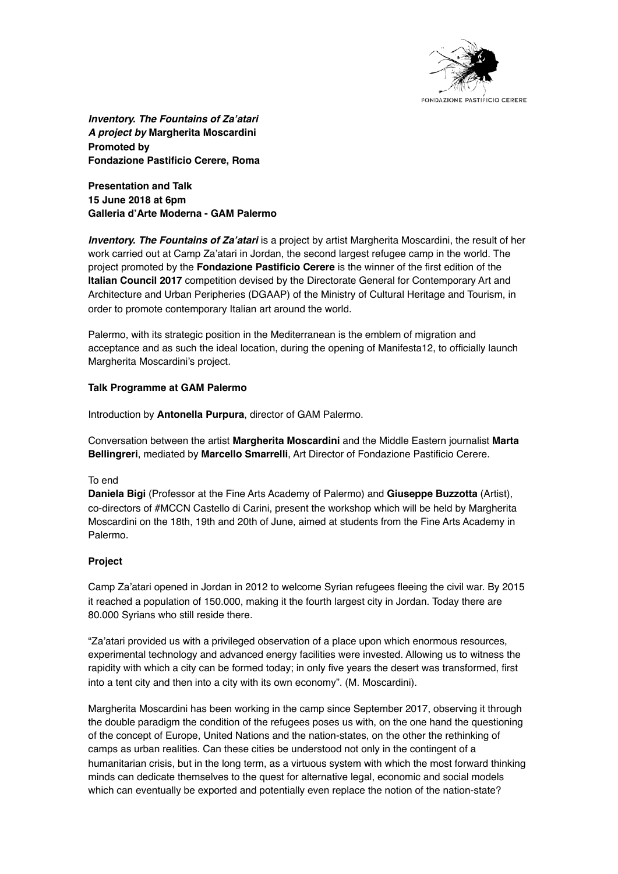

*Inventory. The Fountains of Za'atari A project by* **Margherita Moscardini Promoted by Fondazione Pastificio Cerere, Roma**

**Presentation and Talk 15 June 2018 at 6pm Galleria d'Arte Moderna - GAM Palermo**

*Inventory. The Fountains of Za'atari* is a project by artist Margherita Moscardini, the result of her work carried out at Camp Za'atari in Jordan, the second largest refugee camp in the world. The project promoted by the **Fondazione Pastificio Cerere** is the winner of the first edition of the **Italian Council 2017** competition devised by the Directorate General for Contemporary Art and Architecture and Urban Peripheries (DGAAP) of the Ministry of Cultural Heritage and Tourism, in order to promote contemporary Italian art around the world.

Palermo, with its strategic position in the Mediterranean is the emblem of migration and acceptance and as such the ideal location, during the opening of Manifesta12, to officially launch Margherita Moscardini's project.

# **Talk Programme at GAM Palermo**

Introduction by **Antonella Purpura**, director of GAM Palermo.

Conversation between the artist **Margherita Moscardini** and the Middle Eastern journalist **Marta Bellingreri**, mediated by **Marcello Smarrelli**, Art Director of Fondazione Pastificio Cerere.

## To end

**Daniela Bigi** (Professor at the Fine Arts Academy of Palermo) and **Giuseppe Buzzotta** (Artist), co-directors of #MCCN Castello di Carini, present the workshop which will be held by Margherita Moscardini on the 18th, 19th and 20th of June, aimed at students from the Fine Arts Academy in Palermo.

# **Project**

Camp Za'atari opened in Jordan in 2012 to welcome Syrian refugees fleeing the civil war. By 2015 it reached a population of 150.000, making it the fourth largest city in Jordan. Today there are 80.000 Syrians who still reside there.

"Za'atari provided us with a privileged observation of a place upon which enormous resources, experimental technology and advanced energy facilities were invested. Allowing us to witness the rapidity with which a city can be formed today; in only five years the desert was transformed, first into a tent city and then into a city with its own economy". (M. Moscardini).

Margherita Moscardini has been working in the camp since September 2017, observing it through the double paradigm the condition of the refugees poses us with, on the one hand the questioning of the concept of Europe, United Nations and the nation-states, on the other the rethinking of camps as urban realities. Can these cities be understood not only in the contingent of a humanitarian crisis, but in the long term, as a virtuous system with which the most forward thinking minds can dedicate themselves to the quest for alternative legal, economic and social models which can eventually be exported and potentially even replace the notion of the nation-state?